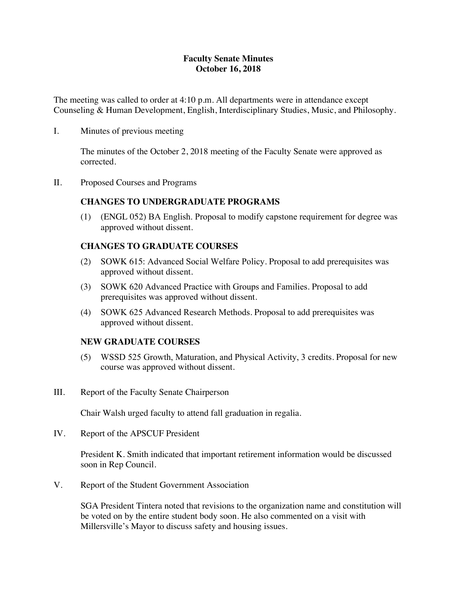## **Faculty Senate Minutes October 16, 2018**

The meeting was called to order at 4:10 p.m. All departments were in attendance except Counseling & Human Development, English, Interdisciplinary Studies, Music, and Philosophy.

I. Minutes of previous meeting

The minutes of the October 2, 2018 meeting of the Faculty Senate were approved as corrected.

II. Proposed Courses and Programs

### **CHANGES TO UNDERGRADUATE PROGRAMS**

(1) (ENGL 052) BA English. Proposal to modify capstone requirement for degree was approved without dissent.

### **CHANGES TO GRADUATE COURSES**

- (2) SOWK 615: Advanced Social Welfare Policy. Proposal to add prerequisites was approved without dissent.
- (3) SOWK 620 Advanced Practice with Groups and Families. Proposal to add prerequisites was approved without dissent.
- (4) SOWK 625 Advanced Research Methods. Proposal to add prerequisites was approved without dissent.

### **NEW GRADUATE COURSES**

- (5) WSSD 525 Growth, Maturation, and Physical Activity, 3 credits. Proposal for new course was approved without dissent.
- III. Report of the Faculty Senate Chairperson

Chair Walsh urged faculty to attend fall graduation in regalia.

IV. Report of the APSCUF President

President K. Smith indicated that important retirement information would be discussed soon in Rep Council.

V. Report of the Student Government Association

SGA President Tintera noted that revisions to the organization name and constitution will be voted on by the entire student body soon. He also commented on a visit with Millersville's Mayor to discuss safety and housing issues.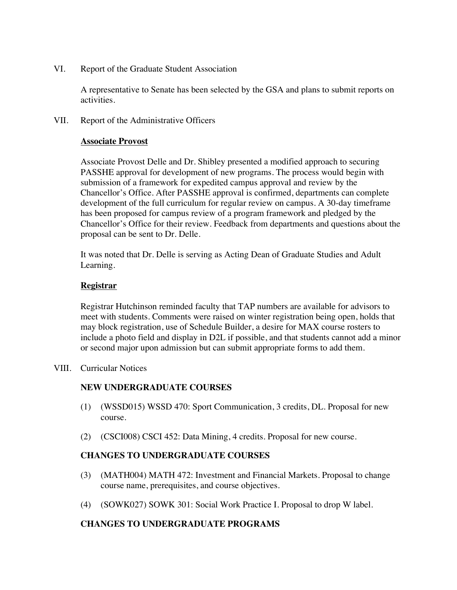VI. Report of the Graduate Student Association

A representative to Senate has been selected by the GSA and plans to submit reports on activities.

VII. Report of the Administrative Officers

### **Associate Provost**

Associate Provost Delle and Dr. Shibley presented a modified approach to securing PASSHE approval for development of new programs. The process would begin with submission of a framework for expedited campus approval and review by the Chancellor's Office. After PASSHE approval is confirmed, departments can complete development of the full curriculum for regular review on campus. A 30-day timeframe has been proposed for campus review of a program framework and pledged by the Chancellor's Office for their review. Feedback from departments and questions about the proposal can be sent to Dr. Delle.

It was noted that Dr. Delle is serving as Acting Dean of Graduate Studies and Adult Learning.

## **Registrar**

Registrar Hutchinson reminded faculty that TAP numbers are available for advisors to meet with students. Comments were raised on winter registration being open, holds that may block registration, use of Schedule Builder, a desire for MAX course rosters to include a photo field and display in D2L if possible, and that students cannot add a minor or second major upon admission but can submit appropriate forms to add them.

VIII. Curricular Notices

## **NEW UNDERGRADUATE COURSES**

- (1) (WSSD015) WSSD 470: Sport Communication, 3 credits, DL. Proposal for new course.
- (2) (CSCI008) CSCI 452: Data Mining, 4 credits. Proposal for new course.

## **CHANGES TO UNDERGRADUATE COURSES**

- (3) (MATH004) MATH 472: Investment and Financial Markets. Proposal to change course name, prerequisites, and course objectives.
- (4) (SOWK027) SOWK 301: Social Work Practice I. Proposal to drop W label.

## **CHANGES TO UNDERGRADUATE PROGRAMS**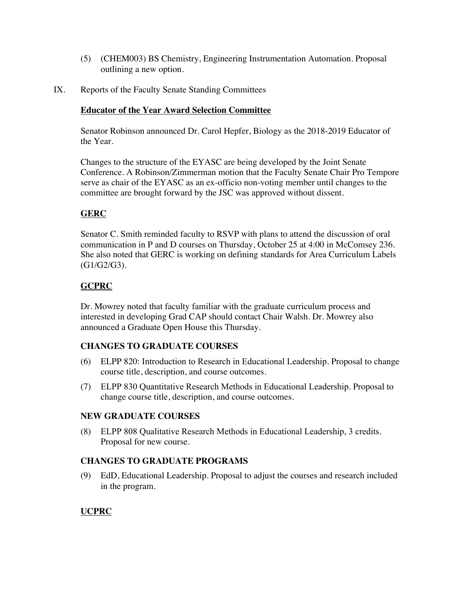- (5) (CHEM003) BS Chemistry, Engineering Instrumentation Automation. Proposal outlining a new option.
- IX. Reports of the Faculty Senate Standing Committees

### **Educator of the Year Award Selection Committee**

Senator Robinson announced Dr. Carol Hepfer, Biology as the 2018-2019 Educator of the Year.

Changes to the structure of the EYASC are being developed by the Joint Senate Conference. A Robinson/Zimmerman motion that the Faculty Senate Chair Pro Tempore serve as chair of the EYASC as an ex-officio non-voting member until changes to the committee are brought forward by the JSC was approved without dissent.

# **GERC**

Senator C. Smith reminded faculty to RSVP with plans to attend the discussion of oral communication in P and D courses on Thursday, October 25 at 4:00 in McComsey 236. She also noted that GERC is working on defining standards for Area Curriculum Labels (G1/G2/G3).

# **GCPRC**

Dr. Mowrey noted that faculty familiar with the graduate curriculum process and interested in developing Grad CAP should contact Chair Walsh. Dr. Mowrey also announced a Graduate Open House this Thursday.

## **CHANGES TO GRADUATE COURSES**

- (6) ELPP 820: Introduction to Research in Educational Leadership. Proposal to change course title, description, and course outcomes.
- (7) ELPP 830 Quantitative Research Methods in Educational Leadership. Proposal to change course title, description, and course outcomes.

## **NEW GRADUATE COURSES**

(8) ELPP 808 Qualitative Research Methods in Educational Leadership, 3 credits. Proposal for new course.

## **CHANGES TO GRADUATE PROGRAMS**

(9) EdD, Educational Leadership. Proposal to adjust the courses and research included in the program.

## **UCPRC**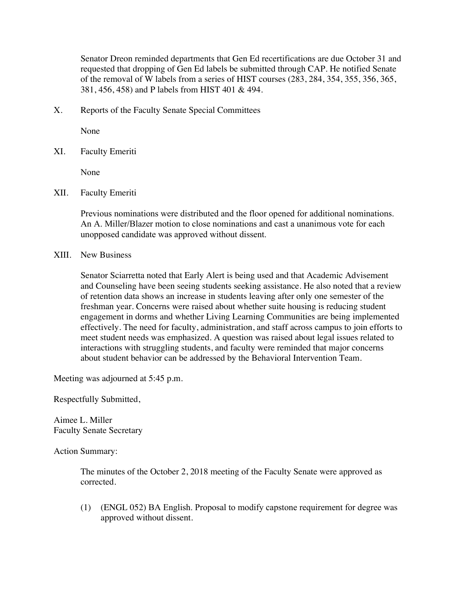Senator Dreon reminded departments that Gen Ed recertifications are due October 31 and requested that dropping of Gen Ed labels be submitted through CAP. He notified Senate of the removal of W labels from a series of HIST courses (283, 284, 354, 355, 356, 365, 381, 456, 458) and P labels from HIST 401 & 494.

X. Reports of the Faculty Senate Special Committees

None

XI. Faculty Emeriti

None

XII. Faculty Emeriti

Previous nominations were distributed and the floor opened for additional nominations. An A. Miller/Blazer motion to close nominations and cast a unanimous vote for each unopposed candidate was approved without dissent.

XIII. New Business

Senator Sciarretta noted that Early Alert is being used and that Academic Advisement and Counseling have been seeing students seeking assistance. He also noted that a review of retention data shows an increase in students leaving after only one semester of the freshman year. Concerns were raised about whether suite housing is reducing student engagement in dorms and whether Living Learning Communities are being implemented effectively. The need for faculty, administration, and staff across campus to join efforts to meet student needs was emphasized. A question was raised about legal issues related to interactions with struggling students, and faculty were reminded that major concerns about student behavior can be addressed by the Behavioral Intervention Team.

Meeting was adjourned at 5:45 p.m.

Respectfully Submitted,

Aimee L. Miller Faculty Senate Secretary

Action Summary:

The minutes of the October 2, 2018 meeting of the Faculty Senate were approved as corrected.

(1) (ENGL 052) BA English. Proposal to modify capstone requirement for degree was approved without dissent.